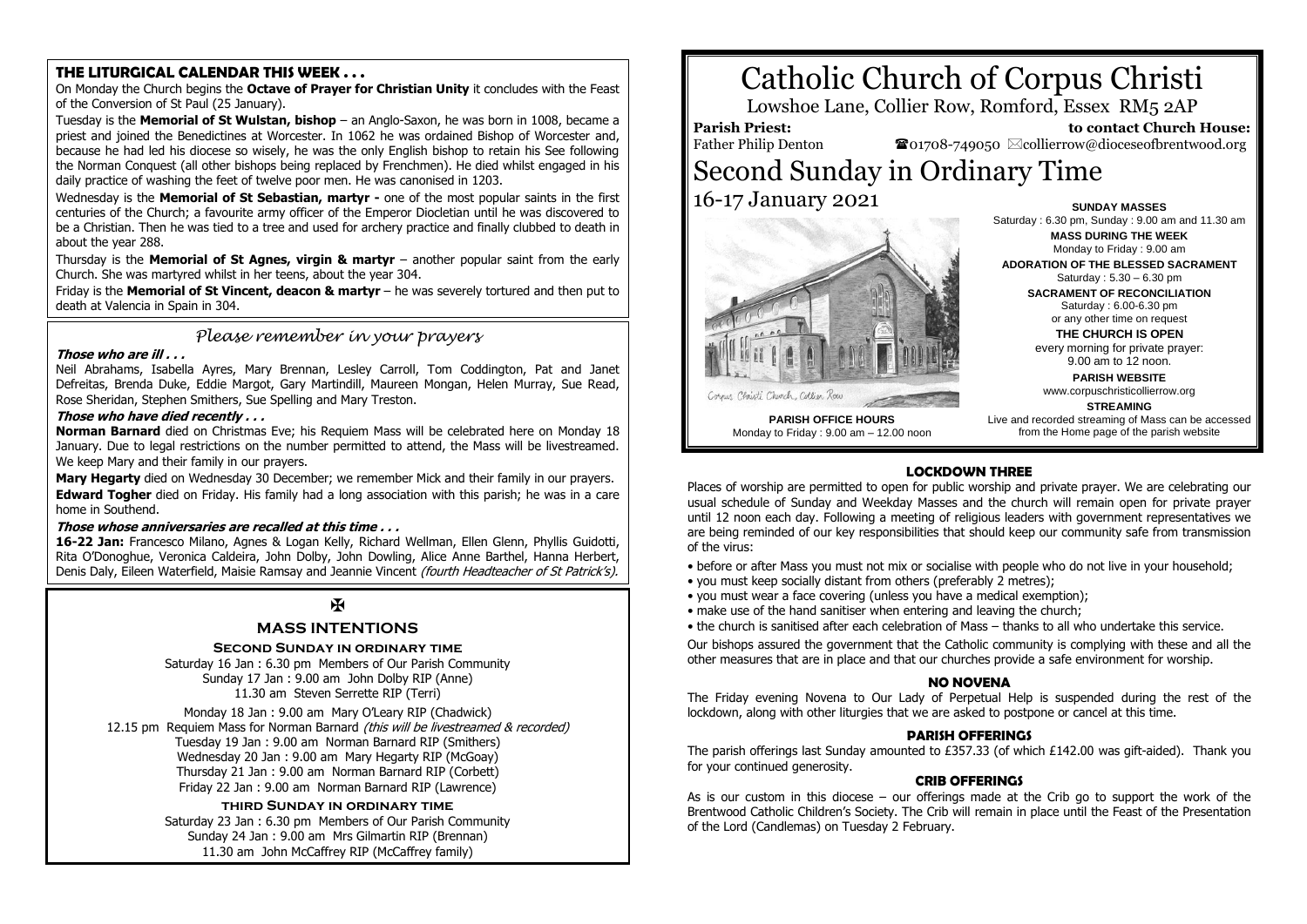### **THE LITURGICAL CALENDAR THIS WEEK . . .**

On Monday the Church begins the **Octave of Prayer for Christian Unity** it concludes with the Feast of the Conversion of St Paul (25 January).

Tuesday is the **Memorial of St Wulstan, bishop** – an Anglo-Saxon, he was born in 1008, became a priest and joined the Benedictines at Worcester. In 1062 he was ordained Bishop of Worcester and, because he had led his diocese so wisely, he was the only English bishop to retain his See following the Norman Conquest (all other bishops being replaced by Frenchmen). He died whilst engaged in his daily practice of washing the feet of twelve poor men. He was canonised in 1203.

Wednesday is the **Memorial of St Sebastian, martyr -** one of the most popular saints in the first centuries of the Church; a favourite army officer of the Emperor Diocletian until he was discovered to be a Christian. Then he was tied to a tree and used for archery practice and finally clubbed to death in about the year 288.

Thursday is the **Memorial of St Agnes, virgin & martyr** – another popular saint from the early Church. She was martyred whilst in her teens, about the year 304.

Friday is the **Memorial of St Vincent, deacon & martyr** – he was severely tortured and then put to death at Valencia in Spain in 304.

*Please remember in your prayers*

#### **Those who are ill . . .**

Neil Abrahams, Isabella Ayres, Mary Brennan, Lesley Carroll, Tom Coddington, Pat and Janet Defreitas, Brenda Duke, Eddie Margot, Gary Martindill, Maureen Mongan, Helen Murray, Sue Read, Rose Sheridan, Stephen Smithers, Sue Spelling and Mary Treston.

#### **Those who have died recently . . .**

**Norman Barnard** died on Christmas Eve; his Requiem Mass will be celebrated here on Monday 18 January. Due to legal restrictions on the number permitted to attend, the Mass will be livestreamed. We keep Mary and their family in our prayers.

**Mary Hegarty** died on Wednesday 30 December; we remember Mick and their family in our prayers. **Edward Togher** died on Friday. His family had a long association with this parish; he was in a care home in Southend.

#### **Those whose anniversaries are recalled at this time . . .**

**16-22 Jan:** Francesco Milano, Agnes & Logan Kelly, Richard Wellman, Ellen Glenn, Phyllis Guidotti, Rita O'Donoghue, Veronica Caldeira, John Dolby, John Dowling, Alice Anne Barthel, Hanna Herbert, Denis Daly, Eileen Waterfield, Maisie Ramsay and Jeannie Vincent (fourth Headteacher of St Patrick's).

## $\mathbf{H}$

## **MASS INTENTIONS**

#### **Second Sunday in ordinary time**

Saturday 16 Jan : 6.30 pm Members of Our Parish Community Sunday 17 Jan : 9.00 am John Dolby RIP (Anne) 11.30 am Steven Serrette RIP (Terri)

Monday 18 Jan : 9.00 am Mary O'Leary RIP (Chadwick) 12.15 pm Requiem Mass for Norman Barnard (this will be livestreamed & recorded) Tuesday 19 Jan : 9.00 am Norman Barnard RIP (Smithers) Wednesday 20 Jan : 9.00 am Mary Hegarty RIP (McGoay) Thursday 21 Jan : 9.00 am Norman Barnard RIP (Corbett) Friday 22 Jan : 9.00 am Norman Barnard RIP (Lawrence)

> **third Sunday in ordinary time** Saturday 23 Jan : 6.30 pm Members of Our Parish Community Sunday 24 Jan : 9.00 am Mrs Gilmartin RIP (Brennan) 11.30 am John McCaffrey RIP (McCaffrey family)

# Catholic Church of Corpus Christi

Lowshoe Lane, Collier Row, Romford, Essex RM5 2AP

**Parish Priest:** Father Philip Denton

 **to contact Church House:**  $\bullet$ 01708-749050  $\boxtimes$ collierrow@dioceseofbrentwood.org

## Second Sunday in Ordinary Time 16-17 January 2021



**SUNDAY MASSES** Saturday : 6.30 pm, Sunday : 9.00 am and 11.30 am **MASS DURING THE WEEK** Monday to Friday : 9.00 am

**ADORATION OF THE BLESSED SACRAMENT** Saturday : 5.30 – 6.30 pm

**SACRAMENT OF RECONCILIATION** Saturday : 6.00-6.30 pm or any other time on request

**THE CHURCH IS OPEN**

every morning for private prayer: 9.00 am to 12 noon.

**PARISH WEBSITE** www.corpuschristicollierrow.org

#### **STREAMING**

**PARISH OFFICE HOURS** Monday to Friday : 9.00 am – 12.00 noon Live and recorded streaming of Mass can be accessed from the Home page of the parish website

#### **LOCKDOWN THREE**

Places of worship are permitted to open for public worship and private prayer. We are celebrating our usual schedule of Sunday and Weekday Masses and the church will remain open for private prayer until 12 noon each day. Following a meeting of religious leaders with government representatives we are being reminded of our key responsibilities that should keep our community safe from transmission of the virus:

• before or after Mass you must not mix or socialise with people who do not live in your household;

- you must keep socially distant from others (preferably 2 metres);
- you must wear a face covering (unless you have a medical exemption);
- make use of the hand sanitiser when entering and leaving the church;
- the church is sanitised after each celebration of Mass thanks to all who undertake this service.

Our bishops assured the government that the Catholic community is complying with these and all the other measures that are in place and that our churches provide a safe environment for worship.

#### **NO NOVENA**

The Friday evening Novena to Our Lady of Perpetual Help is suspended during the rest of the lockdown, along with other liturgies that we are asked to postpone or cancel at this time.

#### **PARISH OFFERINGS**

The parish offerings last Sunday amounted to £357.33 (of which £142.00 was gift-aided). Thank you for your continued generosity.

#### **CRIB OFFERINGS**

As is our custom in this diocese – our offerings made at the Crib go to support the work of the Brentwood Catholic Children's Society. The Crib will remain in place until the Feast of the Presentation of the Lord (Candlemas) on Tuesday 2 February.